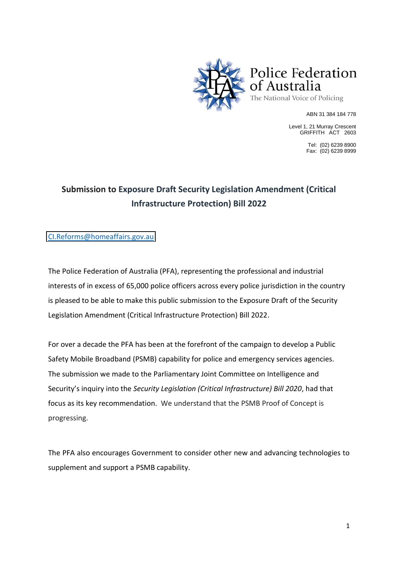

ABN 31 384 184 778

Level 1, 21 Murray Crescent GRIFFITH ACT 2603

> Tel: (02) 6239 8900 Fax: (02) 6239 8999

## **Submission to Exposure Draft Security Legislation Amendment (Critical Infrastructure Protection) Bill 2022**

[CI.Reforms@homeaffairs.gov.au](mailto:CI.Reforms@homeaffairs.gov.au)

The Police Federation of Australia (PFA), representing the professional and industrial interests of in excess of 65,000 police officers across every police jurisdiction in the country is pleased to be able to make this public submission to the Exposure Draft of the Security Legislation Amendment (Critical Infrastructure Protection) Bill 2022.

For over a decade the PFA has been at the forefront of the campaign to develop a Public Safety Mobile Broadband (PSMB) capability for police and emergency services agencies. The submission we made to the Parliamentary Joint Committee on Intelligence and Security's inquiry into the *Security Legislation (Critical Infrastructure) Bill 2020*, had that focus as its key recommendation. We understand that the PSMB Proof of Concept is progressing.

The PFA also encourages Government to consider other new and advancing technologies to supplement and support a PSMB capability.